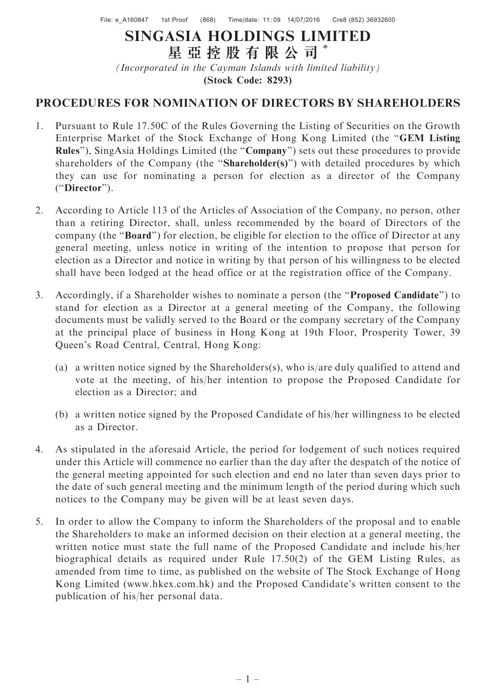## SINGASIA HOLDINGS LIMITED 星 亞 控 股 有 限 公 司 \*

(Incorporated in the Cayman Islands with limited liability) (Stock Code: 8293)

## PROCEDURES FOR NOMINATION OF DIRECTORS BY SHAREHOLDERS

- 1. Pursuant to Rule 17.50C of the Rules Governing the Listing of Securities on the Growth Enterprise Market of the Stock Exchange of Hong Kong Limited (the ''GEM Listing Rules"), SingAsia Holdings Limited (the "Company") sets out these procedures to provide shareholders of the Company (the "Shareholder(s)") with detailed procedures by which they can use for nominating a person for election as a director of the Company (''Director'').
- 2. According to Article 113 of the Articles of Association of the Company, no person, other than a retiring Director, shall, unless recommended by the board of Directors of the company (the ''Board'') for election, be eligible for election to the office of Director at any general meeting, unless notice in writing of the intention to propose that person for election as a Director and notice in writing by that person of his willingness to be elected shall have been lodged at the head office or at the registration office of the Company.
- 3. Accordingly, if a Shareholder wishes to nominate a person (the ''Proposed Candidate'') to stand for election as a Director at a general meeting of the Company, the following documents must be validly served to the Board or the company secretary of the Company at the principal place of business in Hong Kong at 19th Floor, Prosperity Tower, 39 Queen's Road Central, Central, Hong Kong:
	- (a) a written notice signed by the Shareholders(s), who is/are duly qualified to attend and vote at the meeting, of his/her intention to propose the Proposed Candidate for election as a Director; and
	- (b) a written notice signed by the Proposed Candidate of his/her willingness to be elected as a Director.
- 4. As stipulated in the aforesaid Article, the period for lodgement of such notices required under this Article will commence no earlier than the day after the despatch of the notice of the general meeting appointed for such election and end no later than seven days prior to the date of such general meeting and the minimum length of the period during which such notices to the Company may be given will be at least seven days.
- 5. In order to allow the Company to inform the Shareholders of the proposal and to enable the Shareholders to make an informed decision on their election at a general meeting, the written notice must state the full name of the Proposed Candidate and include his/her biographical details as required under Rule 17.50(2) of the GEM Listing Rules, as amended from time to time, as published on the website of The Stock Exchange of Hong Kong Limited (www.hkex.com.hk) and the Proposed Candidate's written consent to the publication of his/her personal data.